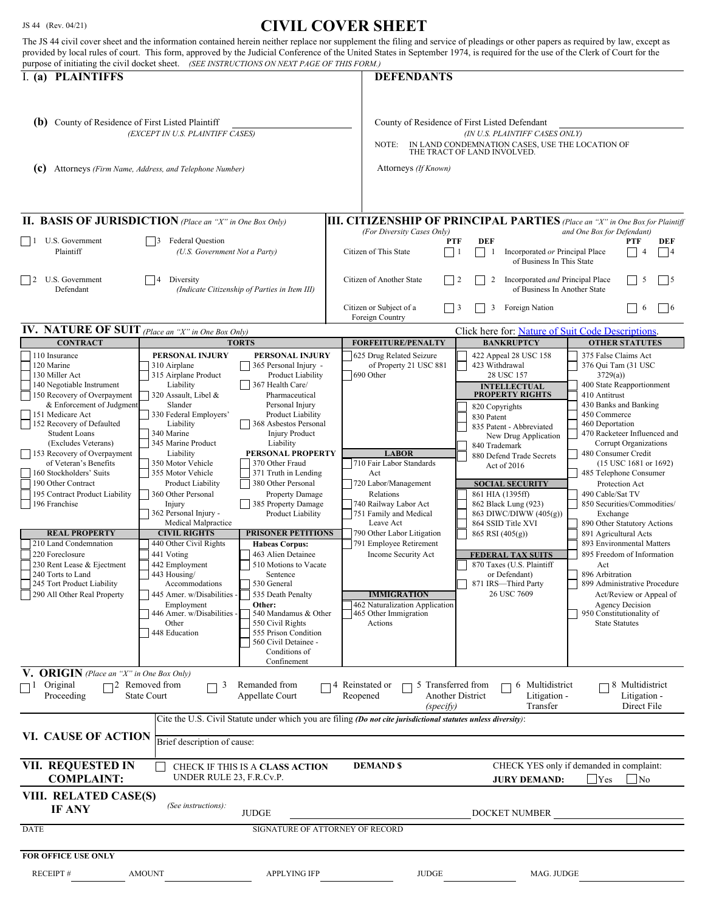## JS 44 (Rev. 04/21) **CIVIL COVER SHEET**

| purpose of initiating the civil docket sheet. (SEE INSTRUCTIONS ON NEXT PAGE OF THIS FORM.)<br>I. (a) PLAINTIFFS<br><b>DEFENDANTS</b>                                                                                                                                                                                                                                                                                                                                                                                                                                                                                                                                                                                                                                                                                                                                                                                                                                                                                                                                                                                                                                                                                                                                                                                                                                                                                                                                                                                                                                                                                                                                                                                                                                                                                                                                                                                                                                                                                                                                                                                                                                                                                                                                                                                                                                                                                                                                                                                                                                                                                                                                                                                                                           |                                                                                                                                                                                                                                                                                                                                                                                                                                                                                                                                                                                                                                                                                   |
|-----------------------------------------------------------------------------------------------------------------------------------------------------------------------------------------------------------------------------------------------------------------------------------------------------------------------------------------------------------------------------------------------------------------------------------------------------------------------------------------------------------------------------------------------------------------------------------------------------------------------------------------------------------------------------------------------------------------------------------------------------------------------------------------------------------------------------------------------------------------------------------------------------------------------------------------------------------------------------------------------------------------------------------------------------------------------------------------------------------------------------------------------------------------------------------------------------------------------------------------------------------------------------------------------------------------------------------------------------------------------------------------------------------------------------------------------------------------------------------------------------------------------------------------------------------------------------------------------------------------------------------------------------------------------------------------------------------------------------------------------------------------------------------------------------------------------------------------------------------------------------------------------------------------------------------------------------------------------------------------------------------------------------------------------------------------------------------------------------------------------------------------------------------------------------------------------------------------------------------------------------------------------------------------------------------------------------------------------------------------------------------------------------------------------------------------------------------------------------------------------------------------------------------------------------------------------------------------------------------------------------------------------------------------------------------------------------------------------------------------------------------------|-----------------------------------------------------------------------------------------------------------------------------------------------------------------------------------------------------------------------------------------------------------------------------------------------------------------------------------------------------------------------------------------------------------------------------------------------------------------------------------------------------------------------------------------------------------------------------------------------------------------------------------------------------------------------------------|
| (b) County of Residence of First Listed Plaintiff<br>County of Residence of First Listed Defendant<br>(EXCEPT IN U.S. PLAINTIFF CASES)<br>(IN U.S. PLAINTIFF CASES ONLY)<br>IN LAND CONDEMNATION CASES, USE THE LOCATION OF<br>NOTE:<br>THE TRACT OF LAND INVOLVED.<br>Attorneys (If Known)<br>(c)<br>Attorneys (Firm Name, Address, and Telephone Number)                                                                                                                                                                                                                                                                                                                                                                                                                                                                                                                                                                                                                                                                                                                                                                                                                                                                                                                                                                                                                                                                                                                                                                                                                                                                                                                                                                                                                                                                                                                                                                                                                                                                                                                                                                                                                                                                                                                                                                                                                                                                                                                                                                                                                                                                                                                                                                                                      |                                                                                                                                                                                                                                                                                                                                                                                                                                                                                                                                                                                                                                                                                   |
| <b>II. BASIS OF JURISDICTION</b> (Place an "X" in One Box Only)<br><b>III. CITIZENSHIP OF PRINCIPAL PARTIES</b> (Place an "X" in One Box for Plaintiff                                                                                                                                                                                                                                                                                                                                                                                                                                                                                                                                                                                                                                                                                                                                                                                                                                                                                                                                                                                                                                                                                                                                                                                                                                                                                                                                                                                                                                                                                                                                                                                                                                                                                                                                                                                                                                                                                                                                                                                                                                                                                                                                                                                                                                                                                                                                                                                                                                                                                                                                                                                                          |                                                                                                                                                                                                                                                                                                                                                                                                                                                                                                                                                                                                                                                                                   |
| (For Diversity Cases Only)<br>$\vert$ 1 U.S. Government<br><b>Federal Question</b><br>DEF<br><b>PTF</b><br>3<br>Plaintiff<br>(U.S. Government Not a Party)<br>Citizen of This State<br>Incorporated or Principal Place<br>$\Box$<br>1<br>of Business In This State                                                                                                                                                                                                                                                                                                                                                                                                                                                                                                                                                                                                                                                                                                                                                                                                                                                                                                                                                                                                                                                                                                                                                                                                                                                                                                                                                                                                                                                                                                                                                                                                                                                                                                                                                                                                                                                                                                                                                                                                                                                                                                                                                                                                                                                                                                                                                                                                                                                                                              | and One Box for Defendant)<br>PTF<br>DEF<br>$\overline{4}$<br> 4                                                                                                                                                                                                                                                                                                                                                                                                                                                                                                                                                                                                                  |
| U.S. Government<br>Citizen of Another State<br> 2<br>Diversity<br>$\vert$ 2<br>2<br>Incorporated and Principal Place<br>Defendant<br>(Indicate Citizenship of Parties in Item III)<br>of Business In Another State                                                                                                                                                                                                                                                                                                                                                                                                                                                                                                                                                                                                                                                                                                                                                                                                                                                                                                                                                                                                                                                                                                                                                                                                                                                                                                                                                                                                                                                                                                                                                                                                                                                                                                                                                                                                                                                                                                                                                                                                                                                                                                                                                                                                                                                                                                                                                                                                                                                                                                                                              | 5<br>$\vert 5 \vert$                                                                                                                                                                                                                                                                                                                                                                                                                                                                                                                                                                                                                                                              |
| Citizen or Subject of a<br>Foreign Nation<br>3<br>Foreign Country                                                                                                                                                                                                                                                                                                                                                                                                                                                                                                                                                                                                                                                                                                                                                                                                                                                                                                                                                                                                                                                                                                                                                                                                                                                                                                                                                                                                                                                                                                                                                                                                                                                                                                                                                                                                                                                                                                                                                                                                                                                                                                                                                                                                                                                                                                                                                                                                                                                                                                                                                                                                                                                                                               | $\overline{\phantom{0}}$ 6<br>6                                                                                                                                                                                                                                                                                                                                                                                                                                                                                                                                                                                                                                                   |
| <b>IV.</b> NATURE OF SUIT (Place an "X" in One Box Only)<br>Click here for: Nature of Suit Code Descriptions.<br><b>CONTRACT</b><br><b>TORTS</b><br><b>FORFEITURE/PENALTY</b><br><b>BANKRUPTCY</b>                                                                                                                                                                                                                                                                                                                                                                                                                                                                                                                                                                                                                                                                                                                                                                                                                                                                                                                                                                                                                                                                                                                                                                                                                                                                                                                                                                                                                                                                                                                                                                                                                                                                                                                                                                                                                                                                                                                                                                                                                                                                                                                                                                                                                                                                                                                                                                                                                                                                                                                                                              | <b>OTHER STATUTES</b>                                                                                                                                                                                                                                                                                                                                                                                                                                                                                                                                                                                                                                                             |
| 110 Insurance<br>PERSONAL INJURY<br>PERSONAL INJURY<br>625 Drug Related Seizure<br>422 Appeal 28 USC 158<br>120 Marine<br>310 Airplane<br>of Property 21 USC 881<br>423 Withdrawal<br>365 Personal Injury -<br>130 Miller Act<br>315 Airplane Product<br>Product Liability<br>690 Other<br>28 USC 157<br>140 Negotiable Instrument<br>367 Health Care/<br>Liability<br><b>INTELLECTUAL</b><br><b>PROPERTY RIGHTS</b><br>150 Recovery of Overpayment<br>320 Assault, Libel &<br>Pharmaceutical<br>& Enforcement of Judgment<br>Slander<br>Personal Injury<br>820 Copyrights<br>151 Medicare Act<br>330 Federal Employers'<br>Product Liability<br>830 Patent<br>152 Recovery of Defaulted<br>Liability<br>368 Asbestos Personal<br>835 Patent - Abbreviated<br><b>Student Loans</b><br>340 Marine<br><b>Injury Product</b><br>New Drug Application<br>(Excludes Veterans)<br>345 Marine Product<br>Liability<br>840 Trademark<br><b>LABOR</b><br>153 Recovery of Overpayment<br>PERSONAL PROPERTY<br>Liability<br>880 Defend Trade Secrets<br>of Veteran's Benefits<br>350 Motor Vehicle<br>370 Other Fraud<br>710 Fair Labor Standards<br>Act of 2016<br>160 Stockholders' Suits<br>355 Motor Vehicle<br>371 Truth in Lending<br>Act<br>190 Other Contract<br>380 Other Personal<br>720 Labor/Management<br>Product Liability<br><b>SOCIAL SECURITY</b><br>195 Contract Product Liability<br>360 Other Personal<br><b>Property Damage</b><br>Relations<br>861 HIA (1395ff)<br>196 Franchise<br>385 Property Damage<br>740 Railway Labor Act<br>Injury<br>862 Black Lung (923)<br>362 Personal Injury -<br>751 Family and Medical<br>Product Liability<br>863 DIWC/DIWW (405(g))<br>Medical Malpractice<br>Leave Act<br>864 SSID Title XVI<br><b>REAL PROPERTY</b><br><b>CIVIL RIGHTS</b><br><b>PRISONER PETITIONS</b><br>790 Other Labor Litigation<br>$865$ RSI $(405(g))$<br>210 Land Condemnation<br>440 Other Civil Rights<br>791 Employee Retirement<br><b>Habeas Corpus:</b><br>220 Foreclosure<br>441 Voting<br>463 Alien Detainee<br>Income Security Act<br><b>FEDERAL TAX SUITS</b><br>230 Rent Lease & Ejectment<br>442 Employment<br>510 Motions to Vacate<br>870 Taxes (U.S. Plaintiff<br>240 Torts to Land<br>443 Housing/<br>Sentence<br>or Defendant)<br>245 Tort Product Liability<br>530 General<br>871 IRS-Third Party<br>Accommodations<br>26 USC 7609<br>290 All Other Real Property<br>445 Amer. w/Disabilities<br>535 Death Penalty<br><b>IMMIGRATION</b><br>462 Naturalization Application<br>Employment<br>Other:<br>446 Amer. w/Disabilities<br>540 Mandamus & Other<br>465 Other Immigration<br>Other<br>550 Civil Rights<br>Actions<br>448 Education<br>555 Prison Condition<br>560 Civil Detainee -<br>Conditions of<br>Confinement | 375 False Claims Act<br>376 Qui Tam (31 USC<br>3729(a)<br>400 State Reapportionment<br>410 Antitrust<br>430 Banks and Banking<br>450 Commerce<br>460 Deportation<br>470 Racketeer Influenced and<br>Corrupt Organizations<br>480 Consumer Credit<br>$(15$ USC $1681$ or $1692)$<br>485 Telephone Consumer<br>Protection Act<br>490 Cable/Sat TV<br>850 Securities/Commodities/<br>Exchange<br>890 Other Statutory Actions<br>891 Agricultural Acts<br>893 Environmental Matters<br>895 Freedom of Information<br>Act<br>896 Arbitration<br>899 Administrative Procedure<br>Act/Review or Appeal of<br><b>Agency Decision</b><br>950 Constitutionality of<br><b>State Statutes</b> |
| V. ORIGIN (Place an "X" in One Box Only)<br>$\Box$ <sup>2</sup> Removed from<br>Original<br>Remanded from<br>4 Reinstated or<br>5 Transferred from<br>6 Multidistrict<br>3<br>$\Box$ 1<br>Proceeding<br><b>State Court</b><br>Appellate Court<br>Reopened<br><b>Another District</b><br>Litigation -<br>(specify)<br>Transfer<br>Cite the U.S. Civil Statute under which you are filing (Do not cite jurisdictional statutes unless diversity):                                                                                                                                                                                                                                                                                                                                                                                                                                                                                                                                                                                                                                                                                                                                                                                                                                                                                                                                                                                                                                                                                                                                                                                                                                                                                                                                                                                                                                                                                                                                                                                                                                                                                                                                                                                                                                                                                                                                                                                                                                                                                                                                                                                                                                                                                                                 | 8 Multidistrict<br>Litigation -<br>Direct File                                                                                                                                                                                                                                                                                                                                                                                                                                                                                                                                                                                                                                    |
| VI. CAUSE OF ACTION<br>Brief description of cause:                                                                                                                                                                                                                                                                                                                                                                                                                                                                                                                                                                                                                                                                                                                                                                                                                                                                                                                                                                                                                                                                                                                                                                                                                                                                                                                                                                                                                                                                                                                                                                                                                                                                                                                                                                                                                                                                                                                                                                                                                                                                                                                                                                                                                                                                                                                                                                                                                                                                                                                                                                                                                                                                                                              |                                                                                                                                                                                                                                                                                                                                                                                                                                                                                                                                                                                                                                                                                   |
| VII. REQUESTED IN<br><b>DEMAND \$</b><br>CHECK IF THIS IS A CLASS ACTION<br>UNDER RULE 23, F.R.Cv.P.<br><b>COMPLAINT:</b><br><b>JURY DEMAND:</b>                                                                                                                                                                                                                                                                                                                                                                                                                                                                                                                                                                                                                                                                                                                                                                                                                                                                                                                                                                                                                                                                                                                                                                                                                                                                                                                                                                                                                                                                                                                                                                                                                                                                                                                                                                                                                                                                                                                                                                                                                                                                                                                                                                                                                                                                                                                                                                                                                                                                                                                                                                                                                | CHECK YES only if demanded in complaint:<br>Yes<br>$\overline{\rm No}$                                                                                                                                                                                                                                                                                                                                                                                                                                                                                                                                                                                                            |
| VIII. RELATED CASE(S)<br>(See instructions):<br><b>IF ANY</b><br><b>JUDGE</b><br>DOCKET NUMBER                                                                                                                                                                                                                                                                                                                                                                                                                                                                                                                                                                                                                                                                                                                                                                                                                                                                                                                                                                                                                                                                                                                                                                                                                                                                                                                                                                                                                                                                                                                                                                                                                                                                                                                                                                                                                                                                                                                                                                                                                                                                                                                                                                                                                                                                                                                                                                                                                                                                                                                                                                                                                                                                  |                                                                                                                                                                                                                                                                                                                                                                                                                                                                                                                                                                                                                                                                                   |
| SIGNATURE OF ATTORNEY OF RECORD<br><b>DATE</b>                                                                                                                                                                                                                                                                                                                                                                                                                                                                                                                                                                                                                                                                                                                                                                                                                                                                                                                                                                                                                                                                                                                                                                                                                                                                                                                                                                                                                                                                                                                                                                                                                                                                                                                                                                                                                                                                                                                                                                                                                                                                                                                                                                                                                                                                                                                                                                                                                                                                                                                                                                                                                                                                                                                  |                                                                                                                                                                                                                                                                                                                                                                                                                                                                                                                                                                                                                                                                                   |
| <b>FOR OFFICE USE ONLY</b><br><b>RECEIPT#</b><br><b>AMOUNT</b><br><b>JUDGE</b><br><b>APPLYING IFP</b><br>MAG. JUDGE                                                                                                                                                                                                                                                                                                                                                                                                                                                                                                                                                                                                                                                                                                                                                                                                                                                                                                                                                                                                                                                                                                                                                                                                                                                                                                                                                                                                                                                                                                                                                                                                                                                                                                                                                                                                                                                                                                                                                                                                                                                                                                                                                                                                                                                                                                                                                                                                                                                                                                                                                                                                                                             |                                                                                                                                                                                                                                                                                                                                                                                                                                                                                                                                                                                                                                                                                   |